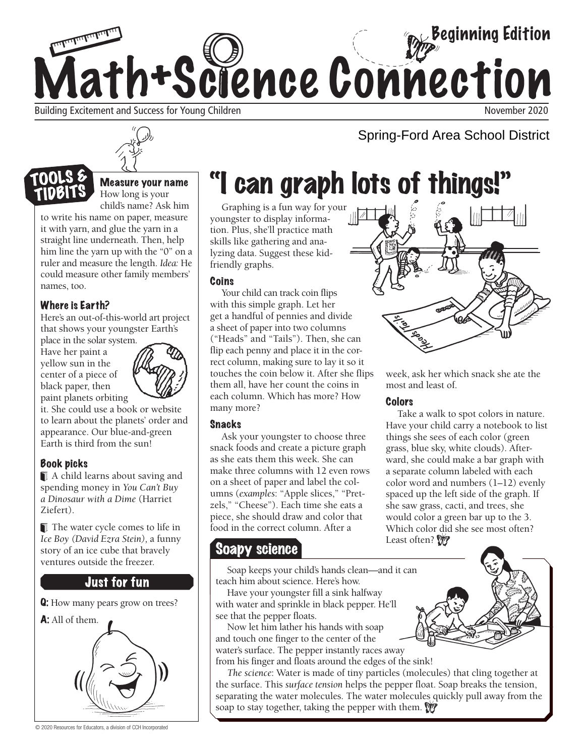

Building Excitement and Success for Young Children November 2020





Measure your name How long is your

child's name? Ask him to write his name on paper, measure it with yarn, and glue the yarn in a straight line underneath. Then, help him line the yarn up with the "0" on a ruler and measure the length. *Idea:* He could measure other family members' names, too.

### Where is Earth?

Here's an out-of-this-world art project that shows your youngster Earth's

place in the solar system. Have her paint a yellow sun in the center of a piece of black paper, then paint planets orbiting



it. She could use a book or website to learn about the planets' order and appearance. Our blue-and-green Earth is third from the sun!

### Book picks

A child learns about saving and spending money in *You Can't Buy a Dinosaur with a Dime* (Harriet Ziefert).

The water cycle comes to life in *Ice Boy (David Ezra Stein),* a funny story of an ice cube that bravely ventures outside the freezer.

## **Just for fun**

Q: How many pears grow on trees?



© 2020 Resources for Educators, a division of CCH Incorporated

# "I can graph lots of things!"

Graphing is a fun way for your youngster to display information. Plus, she'll practice math skills like gathering and analyzing data. Suggest these kidfriendly graphs.

#### Coins

Your child can track coin flips with this simple graph. Let her get a handful of pennies and divide a sheet of paper into two columns ("Heads" and "Tails"). Then, she can flip each penny and place it in the correct column, making sure to lay it so it touches the coin below it. After she flips them all, have her count the coins in each column. Which has more? How many more?

#### **Snacks**

Ask your youngster to choose three snack foods and create a picture graph as she eats them this week. She can make three columns with 12 even rows on a sheet of paper and label the columns (*examples*: "Apple slices," "Pretzels," "Cheese"). Each time she eats a piece, she should draw and color that food in the correct column. After a

## Soapy science

Soap keeps your child's hands clean—and it can teach him about science. Here's how.

Have your youngster fill a sink halfway with water and sprinkle in black pepper. He'll see that the pepper floats.

Now let him lather his hands with soap and touch one finger to the center of the water's surface. The pepper instantly races away from his finger and floats around the edges of the sink!

*The science*: Water is made of tiny particles (molecules) that cling together at the surface. This *surface tension* helps the pepper float. Soap breaks the tension, separating the water molecules. The water molecules quickly pull away from the soap to stay together, taking the pepper with them.  $\mathbf{W}$ 



Spring-Ford Area School District

week, ask her which snack she ate the most and least of.

#### Colors

Take a walk to spot colors in nature. Have your child carry a notebook to list things she sees of each color (green grass, blue sky, white clouds). Afterward, she could make a bar graph with a separate column labeled with each color word and numbers (1–12) evenly spaced up the left side of the graph. If she saw grass, cacti, and trees, she would color a green bar up to the 3. Which color did she see most often? Least often?